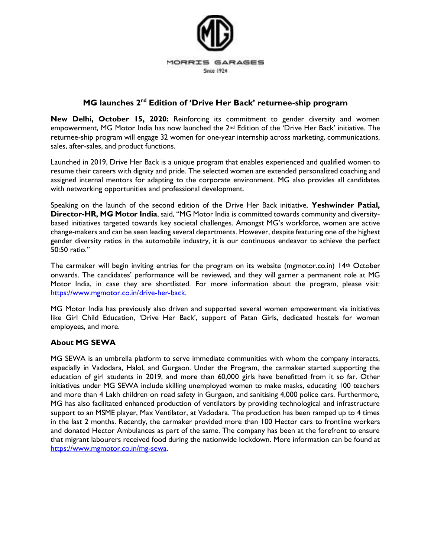

## **MG launches 2nd Edition of 'Drive Her Back' returnee-ship program**

**New Delhi, October 15, 2020:** Reinforcing its commitment to gender diversity and women empowerment, MG Motor India has now launched the 2nd Edition of the 'Drive Her Back' initiative. The returnee-ship program will engage 32 women for one-year internship across marketing, communications, sales, after-sales, and product functions.

Launched in 2019, Drive Her Back is a unique program that enables experienced and qualified women to resume their careers with dignity and pride. The selected women are extended personalized coaching and assigned internal mentors for adapting to the corporate environment. MG also provides all candidates with networking opportunities and professional development.

Speaking on the launch of the second edition of the Drive Her Back initiative, **Yeshwinder Patial, Director-HR, MG Motor India**, said, "MG Motor India is committed towards community and diversitybased initiatives targeted towards key societal challenges. Amongst MG's workforce, women are active change-makers and can be seen leading several departments. However, despite featuring one of the highest gender diversity ratios in the automobile industry, it is our continuous endeavor to achieve the perfect 50:50 ratio."

The carmaker will begin inviting entries for the program on its website (mgmotor.co.in) 14th October onwards. The candidates' performance will be reviewed, and they will garner a permanent role at MG Motor India, in case they are shortlisted. For more information about the program, please visit: [https://www.mgmotor.co.in/drive-her-back.](https://www.mgmotor.co.in/drive-her-back)

MG Motor India has previously also driven and supported several women empowerment via initiatives like Girl Child Education, 'Drive Her Back', support of Patan Girls, dedicated hostels for women employees, and more.

## **About MG SEWA**

MG SEWA is an umbrella platform to serve immediate communities with whom the company interacts, especially in Vadodara, Halol, and Gurgaon. Under the Program, the carmaker started supporting the education of girl students in 2019, and more than 60,000 girls have benefitted from it so far. Other initiatives under MG SEWA include skilling unemployed women to make masks, educating 100 teachers and more than 4 Lakh children on road safety in Gurgaon, and sanitising 4,000 police cars. Furthermore, MG has also facilitated enhanced production of ventilators by providing technological and infrastructure support to an MSME player, Max Ventilator, at Vadodara. The production has been ramped up to 4 times in the last 2 months. Recently, the carmaker provided more than 100 Hector cars to frontline workers and donated Hector Ambulances as part of the same. The company has been at the forefront to ensure that migrant labourers received food during the nationwide lockdown. More information can be found at [https://www.mgmotor.co.in/mg-sewa.](https://www.mgmotor.co.in/mg-sewa)